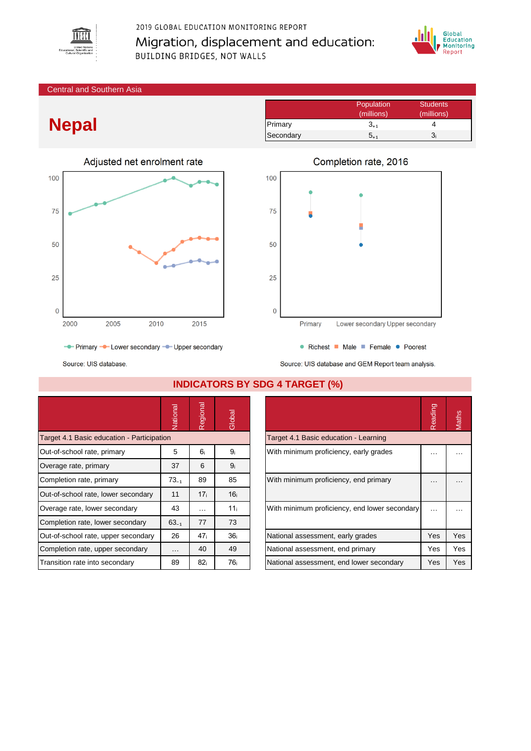

# 2019 GLOBAL EDUCATION MONITORING REPORT Migration, displacement and education: **BUILDING BRIDGES, NOT WALLS**



#### Central and Southern Asia

# **Nepal**



Population Students (millions) (millions) Primary  $3_{+1}$  4 Secondary  $5_{+1}$   $3_i$ 



- Primary - Lower secondary - Upper secondary

Source: UIS database.

Source: UIS database and GEM Report team analysis.

|                                            | Vational             | Regional        | Global          |                                               | Reading              | Maths    |
|--------------------------------------------|----------------------|-----------------|-----------------|-----------------------------------------------|----------------------|----------|
| Target 4.1 Basic education - Participation |                      |                 |                 | Target 4.1 Basic education - Learning         |                      |          |
| Out-of-school rate, primary                | 5                    | 6.              | 9 <sub>i</sub>  | With minimum proficiency, early grades        | $\cdots$             | .        |
| Overage rate, primary                      | 37                   | 6               | 9 <sub>i</sub>  |                                               |                      |          |
| Completion rate, primary                   | $73_{-1}$            | 89              | 85              | With minimum proficiency, end primary         | $\cdots$             | $\cdots$ |
| Out-of-school rate, lower secondary        | 11                   | 17 <sub>i</sub> | 16 <sub>i</sub> |                                               |                      |          |
| Overage rate, lower secondary              | 43                   | $\cdots$        | 11 <sub>i</sub> | With minimum proficiency, end lower secondary | $\sim$ $\sim$ $\sim$ |          |
| Completion rate, lower secondary           | $63_{-1}$            | 77              | 73              |                                               |                      |          |
| Out-of-school rate, upper secondary        | 26                   | 47 <sub>i</sub> | 36 <sub>i</sub> | National assessment, early grades             | Yes                  | Yes      |
| Completion rate, upper secondary           | $\sim$ $\sim$ $\sim$ | 40              | 49              | National assessment, end primary              | Yes                  | Yes      |
| Transition rate into secondary             | 89                   | 82 <sub>i</sub> | 76i             | National assessment, end lower secondary      | Yes                  | Yes      |

### **INDICATORS BY SDG 4 TARGET (%)**

|                                               | Reading |     |
|-----------------------------------------------|---------|-----|
| Target 4.1 Basic education - Learning         |         |     |
| With minimum proficiency, early grades        |         |     |
| With minimum proficiency, end primary         |         |     |
| With minimum proficiency, end lower secondary |         |     |
| National assessment, early grades             | Yes     | Yes |
| National assessment, end primary              | Yes     | Yes |
| National assessment, end lower secondary      | Yes     | Yes |

• Richest • Male • Female • Poorest